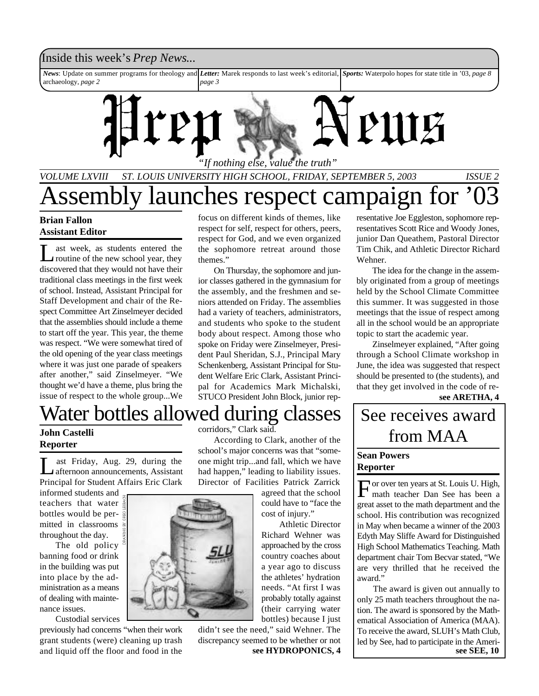### Inside this week's *Prep News*...

*News*: Update on summer programs for theology and *Letter:* Marek responds to last week's editorial, *Sports:* Waterpolo hopes for state title in '03, *page 8* archaeology, *page 2 page 3*



## *VOLUME LXVIII ST. LOUIS UNIVERSITY HIGH SCHOOL, FRIDAY, SEPTEMBER 5, 2003 ISSUE 2* Assembly launches respect campaign for

focus on different kinds of themes, like respect for self, respect for others, peers, respect for God, and we even organized the sophomore retreat around those

On Thursday, the sophomore and junior classes gathered in the gymnasium for the assembly, and the freshmen and seniors attended on Friday. The assemblies had a variety of teachers, administrators, and students who spoke to the student body about respect. Among those who spoke on Friday were Zinselmeyer, President Paul Sheridan, S.J., Principal Mary Schenkenberg, Assistant Principal for Student Welfare Eric Clark, Assistant Principal for Academics Mark Michalski, STUCO President John Block, junior rep-

#### **Brian Fallon Assistant Editor**

 $\overline{\mathsf{L}}$ ast week, as students entered the routine of the new school year, they discovered that they would not have their traditional class meetings in the first week of school. Instead, Assistant Principal for Staff Development and chair of the Respect Committee Art Zinselmeyer decided that the assemblies should include a theme to start off the year. This year, the theme was respect. "We were somewhat tired of the old opening of the year class meetings where it was just one parade of speakers after another," said Zinselmeyer. "We thought we'd have a theme, plus bring the issue of respect to the whole group...We

## Water bottles allowed during classes

themes."

#### **John Castelli Reporter**

 $\prod_{n=1}^{\infty}$ ast Friday, Aug. 29, during the afternoon announcements, Assistant Principal for Student Affairs Eric Clark

informed students and teachers that water bottles would be permitted in classrooms throughout the day.

The old policy banning food or drink in the building was put into place by the administration as a means of dealing with maintenance issues.

Custodial services previously had concerns "when their work grant students (were) cleaning up trash and liquid off the floor and food in the

corridors," Clark said.

According to Clark, another of the school's major concerns was that "someone might trip...and fall, which we have had happen," leading to liability issues. Director of Facilities Patrick Zarrick

agreed that the school could have to "face the cost of injury."

 Athletic Director Richard Wehner was approached by the cross country coaches about a year ago to discuss the athletes' hydration needs. "At first I was probably totally against (their carrying water bottles) because I just

didn't see the need," said Wehner. The discrepancy seemed to be whether or not

resentative Joe Eggleston, sophomore representatives Scott Rice and Woody Jones, junior Dan Queathem, Pastoral Director Tim Chik, and Athletic Director Richard Wehner.

The idea for the change in the assembly originated from a group of meetings held by the School Climate Committee this summer. It was suggested in those meetings that the issue of respect among all in the school would be an appropriate topic to start the academic year.

Zinselmeyer explained, "After going through a School Climate workshop in June, the idea was suggested that respect should be presented to (the students), and that they get involved in the code of re-

**see ARETHA, 4**

## See receives award from MAA

#### **Sean Powers Reporter**

For over ten years at St. Louis U. High, math teacher Dan See has been a or over ten years at St. Louis U. High, great asset to the math department and the school. His contribution was recognized in May when became a winner of the 2003 Edyth May Sliffe Award for Distinguished High School Mathematics Teaching. Math department chair Tom Becvar stated, "We are very thrilled that he received the award."

The award is given out annually to only 25 math teachers throughout the nation. The award is sponsored by the Mathematical Association of America (MAA). To receive the award, SLUH's Math Club, led by See, had to participate in the Ameri**see HYDROPONICS, 4 see SEE, 10** 

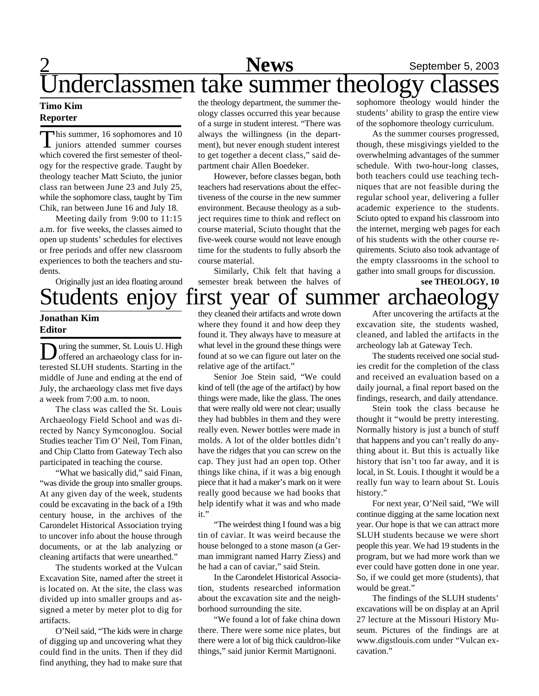## 2 **News** September 5, 2003 Underclassmen take summer theology classes

#### **Timo Kim Reporter**

T his summer, 16 sophomores and 10 juniors attended summer courses which covered the first semester of theology for the respective grade. Taught by theology teacher Matt Sciuto, the junior class ran between June 23 and July 25, while the sophomore class, taught by Tim Chik, ran between June 16 and July 18.

Meeting daily from 9:00 to 11:15 a.m. for five weeks, the classes aimed to open up students' schedules for electives or free periods and offer new classroom experiences to both the teachers and students.

Originally just an idea floating around

### **Jonathan Kim Editor**

**D** uring the summer, St. Louis U. High<br>offered an archaeology class for in-<br>terested SLUH students. Starting in the uring the summer, St. Louis U. High offered an archaeology class for inmiddle of June and ending at the end of July, the archaeology class met five days a week from 7:00 a.m. to noon.

The class was called the St. Louis Archaeology Field School and was directed by Nancy Symconoglou. Social Studies teacher Tim O' Neil, Tom Finan, and Chip Clatto from Gateway Tech also participated in teaching the course.

"What we basically did," said Finan, "was divide the group into smaller groups. At any given day of the week, students could be excavating in the back of a 19th century house, in the archives of the Carondelet Historical Association trying to uncover info about the house through documents, or at the lab analyzing or cleaning artifacts that were unearthed."

The students worked at the Vulcan Excavation Site, named after the street it is located on. At the site, the class was divided up into smaller groups and assigned a meter by meter plot to dig for artifacts.

O'Neil said, "The kids were in charge of digging up and uncovering what they could find in the units. Then if they did find anything, they had to make sure that

the theology department, the summer theology classes occurred this year because of a surge in student interest. "There was always the willingness (in the department), but never enough student interest to get together a decent class," said department chair Allen Boedeker.

However, before classes began, both teachers had reservations about the effectiveness of the course in the new summer environment. Because theology as a subject requires time to think and reflect on course material, Sciuto thought that the five-week course would not leave enough time for the students to fully absorb the course material.

Similarly, Chik felt that having a semester break between the halves of

sophomore theology would hinder the students' ability to grasp the entire view of the sophomore theology curriculum.

As the summer courses progressed, though, these misgivings yielded to the overwhelming advantages of the summer schedule. With two-hour-long classes, both teachers could use teaching techniques that are not feasible during the regular school year, delivering a fuller academic experience to the students. Sciuto opted to expand his classroom into the internet, merging web pages for each of his students with the other course requirements. Sciuto also took advantage of the empty classrooms in the school to gather into small groups for discussion.

## Students enjoy first year of summer archaeology **see THEOLOGY, 10**

they cleaned their artifacts and wrote down where they found it and how deep they found it. They always have to measure at what level in the ground these things were found at so we can figure out later on the relative age of the artifact."

Senior Joe Stein said, "We could kind of tell (the age of the artifact) by how things were made, like the glass. The ones that were really old were not clear; usually they had bubbles in them and they were really even. Newer bottles were made in molds. A lot of the older bottles didn't have the ridges that you can screw on the cap. They just had an open top. Other things like china, if it was a big enough piece that it had a maker's mark on it were really good because we had books that help identify what it was and who made it."

"The weirdest thing I found was a big tin of caviar. It was weird because the house belonged to a stone mason (a German immigrant named Harry Ziess) and he had a can of caviar," said Stein.

In the Carondelet Historical Association, students researched information about the excavation site and the neighborhood surrounding the site.

"We found a lot of fake china down there. There were some nice plates, but there were a lot of big thick cauldron-like things," said junior Kermit Martignoni.

After uncovering the artifacts at the excavation site, the students washed, cleaned, and labled the artifacts in the archeology lab at Gateway Tech.

The students received one social studies credit for the completion of the class and received an evaluation based on a daily journal, a final report based on the findings, research, and daily attendance.

Stein took the class because he thought it "would be pretty interesting. Normally history is just a bunch of stuff that happens and you can't really do anything about it. But this is actually like history that isn't too far away, and it is local, in St. Louis. I thought it would be a really fun way to learn about St. Louis history."

For next year, O'Neil said, "We will continue digging at the same location next year. Our hope is that we can attract more SLUH students because we were short people this year. We had 19 students in the program, but we had more work than we ever could have gotten done in one year. So, if we could get more (students), that would be great."

The findings of the SLUH students' excavations will be on display at an April 27 lecture at the Missouri History Museum. Pictures of the findings are at www.digstlouis.com under "Vulcan excavation."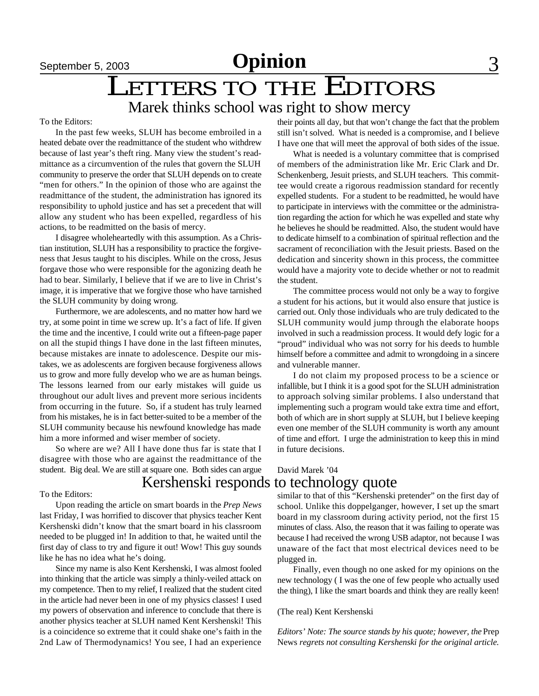## LETTERS TO THE EDITORS Marek thinks school was right to show mercy

#### To the Editors:

In the past few weeks, SLUH has become embroiled in a heated debate over the readmittance of the student who withdrew because of last year's theft ring. Many view the student's readmittance as a circumvention of the rules that govern the SLUH community to preserve the order that SLUH depends on to create "men for others." In the opinion of those who are against the readmittance of the student, the administration has ignored its responsibility to uphold justice and has set a precedent that will allow any student who has been expelled, regardless of his actions, to be readmitted on the basis of mercy.

I disagree wholeheartedly with this assumption. As a Christian institution, SLUH has a responsibility to practice the forgiveness that Jesus taught to his disciples. While on the cross, Jesus forgave those who were responsible for the agonizing death he had to bear. Similarly, I believe that if we are to live in Christ's image, it is imperative that we forgive those who have tarnished the SLUH community by doing wrong.

Furthermore, we are adolescents, and no matter how hard we try, at some point in time we screw up. It's a fact of life. If given the time and the incentive, I could write out a fifteen-page paper on all the stupid things I have done in the last fifteen minutes, because mistakes are innate to adolescence. Despite our mistakes, we as adolescents are forgiven because forgiveness allows us to grow and more fully develop who we are as human beings. The lessons learned from our early mistakes will guide us throughout our adult lives and prevent more serious incidents from occurring in the future. So, if a student has truly learned from his mistakes, he is in fact better-suited to be a member of the SLUH community because his newfound knowledge has made him a more informed and wiser member of society.

So where are we? All I have done thus far is state that I disagree with those who are against the readmittance of the student. Big deal. We are still at square one. Both sides can argue

#### To the Editors:

Upon reading the article on smart boards in the *Prep News* last Friday, I was horrified to discover that physics teacher Kent Kershenski didn't know that the smart board in his classroom needed to be plugged in! In addition to that, he waited until the first day of class to try and figure it out! Wow! This guy sounds like he has no idea what he's doing.

Since my name is also Kent Kershenski, I was almost fooled into thinking that the article was simply a thinly-veiled attack on my competence. Then to my relief, I realized that the student cited in the article had never been in one of my physics classes! I used my powers of observation and inference to conclude that there is another physics teacher at SLUH named Kent Kershenski! This is a coincidence so extreme that it could shake one's faith in the 2nd Law of Thermodynamics! You see, I had an experience

their points all day, but that won't change the fact that the problem still isn't solved. What is needed is a compromise, and I believe I have one that will meet the approval of both sides of the issue.

What is needed is a voluntary committee that is comprised of members of the administration like Mr. Eric Clark and Dr. Schenkenberg, Jesuit priests, and SLUH teachers. This committee would create a rigorous readmission standard for recently expelled students. For a student to be readmitted, he would have to participate in interviews with the committee or the administration regarding the action for which he was expelled and state why he believes he should be readmitted. Also, the student would have to dedicate himself to a combination of spiritual reflection and the sacrament of reconciliation with the Jesuit priests. Based on the dedication and sincerity shown in this process, the committee would have a majority vote to decide whether or not to readmit the student.

The committee process would not only be a way to forgive a student for his actions, but it would also ensure that justice is carried out. Only those individuals who are truly dedicated to the SLUH community would jump through the elaborate hoops involved in such a readmission process. It would defy logic for a "proud" individual who was not sorry for his deeds to humble himself before a committee and admit to wrongdoing in a sincere and vulnerable manner.

I do not claim my proposed process to be a science or infallible, but I think it is a good spot for the SLUH administration to approach solving similar problems. I also understand that implementing such a program would take extra time and effort, both of which are in short supply at SLUH, but I believe keeping even one member of the SLUH community is worth any amount of time and effort. I urge the administration to keep this in mind in future decisions.

#### David Marek '04 Kershenski responds to technology quote

similar to that of this "Kershenski pretender" on the first day of school. Unlike this doppelganger, however, I set up the smart board in my classroom during activity period, not the first 15 minutes of class. Also, the reason that it was failing to operate was because I had received the wrong USB adaptor, not because I was unaware of the fact that most electrical devices need to be plugged in.

Finally, even though no one asked for my opinions on the new technology ( I was the one of few people who actually used the thing), I like the smart boards and think they are really keen!

#### (The real) Kent Kershenski

*Editors' Note: The source stands by his quote; however, the* Prep News *regrets not consulting Kershenski for the original article.*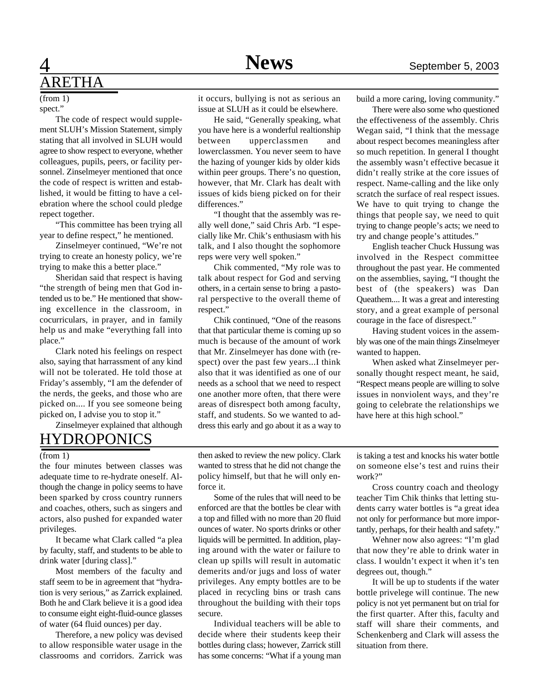## 4 **News** September 5, 2003 ARETHA

spect." (from 1)

The code of respect would supplement SLUH's Mission Statement, simply stating that all involved in SLUH would agree to show respect to everyone, whether colleagues, pupils, peers, or facility personnel. Zinselmeyer mentioned that once the code of respect is written and established, it would be fitting to have a celebration where the school could pledge repect together.

"This committee has been trying all year to define respect," he mentioned.

Zinselmeyer continued, "We're not trying to create an honesty policy, we're trying to make this a better place."

Sheridan said that respect is having "the strength of being men that God intended us to be." He mentioned that showing excellence in the classroom, in cocurriculars, in prayer, and in family help us and make "everything fall into place."

Clark noted his feelings on respect also, saying that harrassment of any kind will not be tolerated. He told those at Friday's assembly, "I am the defender of the nerds, the geeks, and those who are picked on.... If you see someone being picked on, I advise you to stop it."

Zinselmeyer explained that although

## HYDROPONICS

#### (from 1)

the four minutes between classes was adequate time to re-hydrate oneself. Although the change in policy seems to have been sparked by cross country runners and coaches, others, such as singers and actors, also pushed for expanded water privileges.

It became what Clark called "a plea by faculty, staff, and students to be able to drink water [during class]."

Most members of the faculty and staff seem to be in agreement that "hydration is very serious," as Zarrick explained. Both he and Clark believe it is a good idea to consume eight eight-fluid-ounce glasses of water (64 fluid ounces) per day.

Therefore, a new policy was devised to allow responsible water usage in the classrooms and corridors. Zarrick was

it occurs, bullying is not as serious an issue at SLUH as it could be elsewhere.

He said, "Generally speaking, what you have here is a wonderful realtionship between upperclassmen and lowerclassmen. You never seem to have the hazing of younger kids by older kids within peer groups. There's no question, however, that Mr. Clark has dealt with issues of kids bieng picked on for their differences."

"I thought that the assembly was really well done," said Chris Arb. "I especially like Mr. Chik's enthusiasm with his talk, and I also thought the sophomore reps were very well spoken."

Chik commented, "My role was to talk about respect for God and serving others, in a certain sense to bring a pastoral perspective to the overall theme of respect."

Chik continued, "One of the reasons that that particular theme is coming up so much is because of the amount of work that Mr. Zinselmeyer has done with (respect) over the past few years...I think also that it was identified as one of our needs as a school that we need to respect one another more often, that there were areas of disrespect both among faculty, staff, and students. So we wanted to address this early and go about it as a way to

build a more caring, loving community."

There were also some who questioned the effectiveness of the assembly. Chris Wegan said, "I think that the message about respect becomes meaningless after so much repetition. In general I thought the assembly wasn't effective becasue it didn't really strike at the core issues of respect. Name-calling and the like only scratch the surface of real respect issues. We have to quit trying to change the things that people say, we need to quit trying to change people's acts; we need to try and change people's attitudes."

English teacher Chuck Hussung was involved in the Respect committee throughout the past year. He commented on the assemblies, saying, "I thought the best of (the speakers) was Dan Queathem.... It was a great and interesting story, and a great example of personal courage in the face of disrespect."

Having student voices in the assembly was one of the main things Zinselmeyer wanted to happen.

When asked what Zinselmeyer personally thought respect meant, he said, "Respect means people are willing to solve issues in nonviolent ways, and they're going to celebrate the relationships we have here at this high school."

then asked to review the new policy. Clark wanted to stress that he did not change the policy himself, but that he will only enforce it.

Some of the rules that will need to be enforced are that the bottles be clear with a top and filled with no more than 20 fluid ounces of water. No sports drinks or other liquids will be permitted. In addition, playing around with the water or failure to clean up spills will result in automatic demerits and/or jugs and loss of water privileges. Any empty bottles are to be placed in recycling bins or trash cans throughout the building with their tops secure.

Individual teachers will be able to decide where their students keep their bottles during class; however, Zarrick still has some concerns: "What if a young man is taking a test and knocks his water bottle on someone else's test and ruins their work?"

Cross country coach and theology teacher Tim Chik thinks that letting students carry water bottles is "a great idea not only for performance but more importantly, perhaps, for their health and safety."

Wehner now also agrees: "I'm glad that now they're able to drink water in class. I wouldn't expect it when it's ten degrees out, though."

It will be up to students if the water bottle privelege will continue. The new policy is not yet permanent but on trial for the first quarter. After this, faculty and staff will share their comments, and Schenkenberg and Clark will assess the situation from there.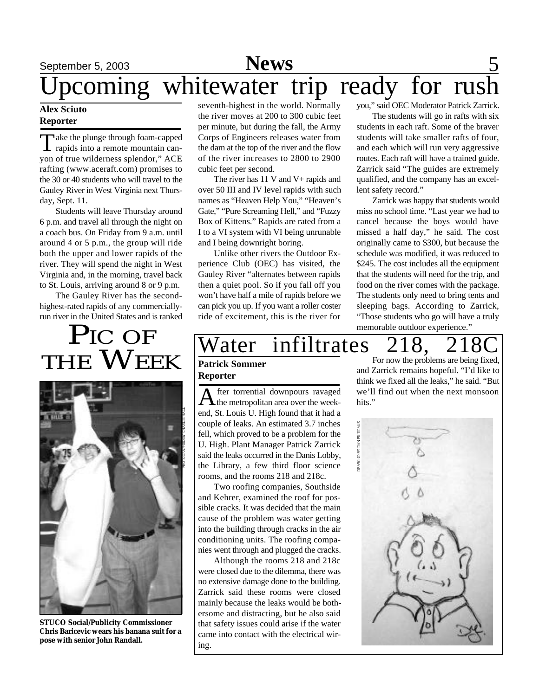## September 5, 2003 **News** 5 pcoming whitewater trip ready for rush

#### **Alex Sciuto Reporter**

Take the plunge through foam-capped<br>rapids into a remote mountain canake the plunge through foam-capped yon of true wilderness splendor," ACE rafting (www.aceraft.com) promises to the 30 or 40 students who will travel to the Gauley River in West Virginia next Thursday, Sept. 11.

Students will leave Thursday around 6 p.m. and travel all through the night on a coach bus. On Friday from 9 a.m. until around 4 or 5 p.m., the group will ride both the upper and lower rapids of the river. They will spend the night in West Virginia and, in the morning, travel back to St. Louis, arriving around 8 or 9 p.m.

The Gauley River has the secondhighest-rated rapids of any commerciallyrun river in the United States and is ranked

# PIC OF THE WEEK



**STUCO Social/Publicity Commissioner Chris Baricevic wears his banana suit for a pose with senior John Randall.**

seventh-highest in the world. Normally the river moves at 200 to 300 cubic feet per minute, but during the fall, the Army Corps of Engineers releases water from the dam at the top of the river and the flow of the river increases to 2800 to 2900 cubic feet per second.

The river has  $11$  V and V + rapids and over 50 III and IV level rapids with such names as "Heaven Help You," "Heaven's Gate," "Pure Screaming Hell," and "Fuzzy Box of Kittens." Rapids are rated from a I to a VI system with VI being unrunable and I being downright boring.

Unlike other rivers the Outdoor Experience Club (OEC) has visited, the Gauley River "alternates between rapids then a quiet pool. So if you fall off you won't have half a mile of rapids before we can pick you up. If you want a roller coster ride of excitement, this is the river for you," said OEC Moderator Patrick Zarrick.

The students will go in rafts with six students in each raft. Some of the braver students will take smaller rafts of four, and each which will run very aggressive routes. Each raft will have a trained guide. Zarrick said "The guides are extremely qualified, and the company has an excellent safety record."

Zarrick was happy that students would miss no school time. "Last year we had to cancel because the boys would have missed a half day," he said. The cost originally came to \$300, but because the schedule was modified, it was reduced to \$245. The cost includes all the equipment that the students will need for the trip, and food on the river comes with the package. The students only need to bring tents and sleeping bags. According to Zarrick, "Those students who go will have a truly memorable outdoor experience."

## Vater infiltrates 218, 2180

#### **Patrick Sommer Reporter**

A fter torrential downpours ravaged fter torrential downpours ravaged end, St. Louis U. High found that it had a couple of leaks. An estimated 3.7 inches fell, which proved to be a problem for the U. High. Plant Manager Patrick Zarrick said the leaks occurred in the Danis Lobby, the Library, a few third floor science rooms, and the rooms 218 and 218c.

Two roofing companies, Southside and Kehrer, examined the roof for possible cracks. It was decided that the main cause of the problem was water getting into the building through cracks in the air conditioning units. The roofing companies went through and plugged the cracks.

Although the rooms 218 and 218c were closed due to the dilemma, there was no extensive damage done to the building. Zarrick said these rooms were closed mainly because the leaks would be bothersome and distracting, but he also said that safety issues could arise if the water came into contact with the electrical wiring.

For now the problems are being fixed, and Zarrick remains hopeful. "I'd like to think we fixed all the leaks," he said. "But we'll find out when the next monsoon hits."

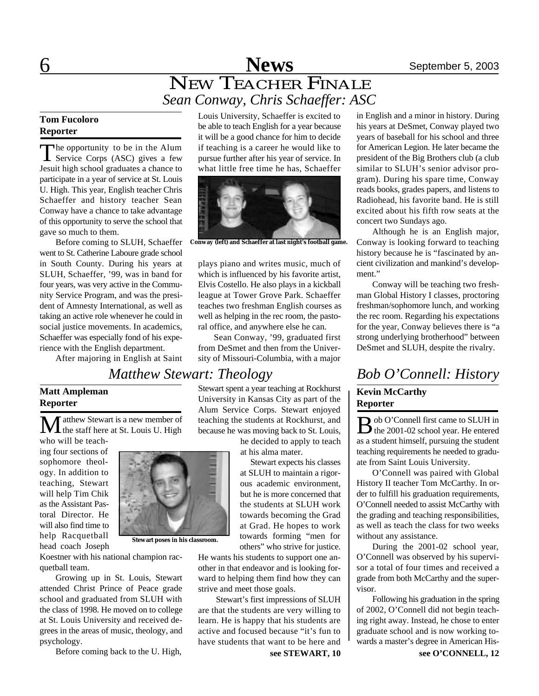## 6 **News** September 5, 2003 NEW TEACHER FINALE *Sean Conway, Chris Schaeffer: ASC*

#### **Tom Fucoloro Reporter**

The opportunity to be in the Alum<br>Service Corps (ASC) gives a few he opportunity to be in the Alum Jesuit high school graduates a chance to participate in a year of service at St. Louis U. High. This year, English teacher Chris Schaeffer and history teacher Sean Conway have a chance to take advantage of this opportunity to serve the school that gave so much to them.

Before coming to SLUH, Schaeffer went to St. Catherine Laboure grade school in South County. During his years at SLUH, Schaeffer, '99, was in band for four years, was very active in the Community Service Program, and was the president of Amnesty International, as well as taking an active role whenever he could in social justice movements. In academics, Schaeffer was especially fond of his experience with the English department.

After majoring in English at Saint

 $\mathbf M$  atthew Stewart is a new member of<br>the staff here at St. Louis U. High

Louis University, Schaeffer is excited to be able to teach English for a year because it will be a good chance for him to decide if teaching is a career he would like to pursue further after his year of service. In what little free time he has, Schaeffer



**Conway (left) and Schaeffer at last night's football game.**

plays piano and writes music, much of which is influenced by his favorite artist, Elvis Costello. He also plays in a kickball league at Tower Grove Park. Schaeffer teaches two freshman English courses as well as helping in the rec room, the pastoral office, and anywhere else he can.

Sean Conway, '99, graduated first from DeSmet and then from the University of Missouri-Columbia, with a major

## *Matthew Stewart: Theology Bob O'Connell: History*

Stewart spent a year teaching at Rockhurst University in Kansas City as part of the Alum Service Corps. Stewart enjoyed teaching the students at Rockhurst, and because he was moving back to St. Louis,

> he decided to apply to teach at his alma mater.

 Stewart expects his classes at SLUH to maintain a rigorous academic environment, but he is more concerned that the students at SLUH work towards becoming the Grad at Grad. He hopes to work towards forming "men for others" who strive for justice.

He wants his students to support one another in that endeavor and is looking forward to helping them find how they can strive and meet those goals.

 Stewart's first impressions of SLUH are that the students are very willing to learn. He is happy that his students are active and focused because "it's fun to have students that want to be here and

in English and a minor in history. During his years at DeSmet, Conway played two years of baseball for his school and three for American Legion. He later became the president of the Big Brothers club (a club similar to SLUH's senior advisor program). During his spare time, Conway reads books, grades papers, and listens to Radiohead, his favorite band. He is still excited about his fifth row seats at the concert two Sundays ago.

Although he is an English major, Conway is looking forward to teaching history because he is "fascinated by ancient civilization and mankind's development."

Conway will be teaching two freshman Global History I classes, proctoring freshman/sophomore lunch, and working the rec room. Regarding his expectations for the year, Conway believes there is "a strong underlying brotherhood" between DeSmet and SLUH, despite the rivalry.

#### **Kevin McCarthy Reporter**

B ob O'Connell first came to SLUH in<br>the 2001-02 school year. He entered the 2001-02 school year. He entered as a student himself, pursuing the student teaching requirements he needed to graduate from Saint Louis University.

O'Connell was paired with Global History II teacher Tom McCarthy. In order to fulfill his graduation requirements, O'Connell needed to assist McCarthy with the grading and teaching responsibilities, as well as teach the class for two weeks without any assistance.

During the 2001-02 school year, O'Connell was observed by his supervisor a total of four times and received a grade from both McCarthy and the supervisor.

Following his graduation in the spring of 2002, O'Connell did not begin teaching right away. Instead, he chose to enter graduate school and is now working towards a master's degree in American His-

who will be teaching four sections of sophomore theology. In addition to teaching, Stewart will help Tim Chik as the Assistant Pastoral Director. He will also find time to help Racquetball head coach Joseph

**Matt Ampleman**

**Reporter**



Koestner with his national champion racquetball team.

Growing up in St. Louis, Stewart attended Christ Prince of Peace grade school and graduated from SLUH with the class of 1998. He moved on to college at St. Louis University and received degrees in the areas of music, theology, and psychology.

Before coming back to the U. High,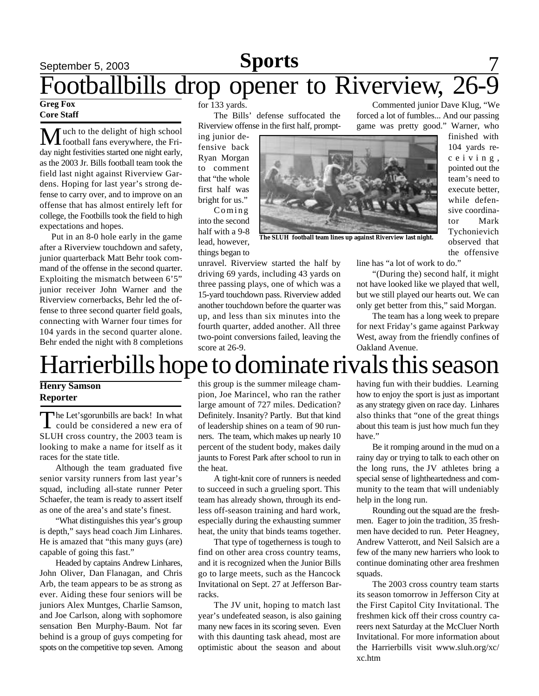## **September 5, 2003 Sports** 7 Footballbills drop opener to Riverview, 26-9 **Greg Fox**

## **Core Staff**

Much to the delight of high school football fans everywhere, the Friday night festivities started one night early, as the 2003 Jr. Bills football team took the field last night against Riverview Gardens. Hoping for last year's strong defense to carry over, and to improve on an offense that has almost entirely left for college, the Footbills took the field to high expectations and hopes.

 Put in an 8-0 hole early in the game after a Riverview touchdown and safety, junior quarterback Matt Behr took command of the offense in the second quarter. Exploiting the mismatch between 6'5" junior receiver John Warner and the Riverview cornerbacks, Behr led the offense to three second quarter field goals, connecting with Warner four times for 104 yards in the second quarter alone. Behr ended the night with 8 completions for 133 yards.

The Bills' defense suffocated the Riverview offense in the first half, prompt-

ing junior defensive back Ryan Morgan to comment that "the whole first half was bright for us."

Coming into the second half with a 9-8 lead, however, things began to

unravel. Riverview started the half by driving 69 yards, including 43 yards on three passing plays, one of which was a 15-yard touchdown pass. Riverview added another touchdown before the quarter was up, and less than six minutes into the fourth quarter, added another. All three two-point conversions failed, leaving the score at 26-9.

Commented junior Dave Klug, "We forced a lot of fumbles... And our passing game was pretty good." Warner, who



**The SLUH football team lines up against Riverview last night.**

finished with 104 yards rec e i v i n g , pointed out the team's need to execute better, while defensive coordinator Mark Tychonievich observed that the offensive

line has "a lot of work to do."

"(During the) second half, it might not have looked like we played that well, but we still played our hearts out. We can only get better from this," said Morgan.

The team has a long week to prepare for next Friday's game against Parkway West, away from the friendly confines of Oakland Avenue.

# Harrierbills hope to dominate rivals this season

#### **Henry Samson Reporter**

The Let's gorunbills are back! In what<br>could be considered a new era of he Let'sgorunbills are back! In what SLUH cross country, the 2003 team is looking to make a name for itself as it races for the state title.

Although the team graduated five senior varsity runners from last year's squad, including all-state runner Peter Schaefer, the team is ready to assert itself as one of the area's and state's finest.

"What distinguishes this year's group is depth," says head coach Jim Linhares. He is amazed that "this many guys (are) capable of going this fast."

Headed by captains Andrew Linhares, John Oliver, Dan Flanagan, and Chris Arb, the team appears to be as strong as ever. Aiding these four seniors will be juniors Alex Muntges, Charlie Samson, and Joe Carlson, along with sophomore sensation Ben Murphy-Baum. Not far behind is a group of guys competing for spots on the competitive top seven. Among

this group is the summer mileage champion, Joe Marincel, who ran the rather large amount of 727 miles. Dedication? Definitely. Insanity? Partly. But that kind of leadership shines on a team of 90 runners. The team, which makes up nearly 10 percent of the student body, makes daily jaunts to Forest Park after school to run in the heat.

A tight-knit core of runners is needed to succeed in such a grueling sport. This team has already shown, through its endless off-season training and hard work, especially during the exhausting summer heat, the unity that binds teams together.

That type of togetherness is tough to find on other area cross country teams, and it is recognized when the Junior Bills go to large meets, such as the Hancock Invitational on Sept. 27 at Jefferson Barracks.

The JV unit, hoping to match last year's undefeated season, is also gaining many new faces in its scoring seven. Even with this daunting task ahead, most are optimistic about the season and about

having fun with their buddies. Learning how to enjoy the sport is just as important as any strategy given on race day. Linhares also thinks that "one of the great things about this team is just how much fun they have."

Be it romping around in the mud on a rainy day or trying to talk to each other on the long runs, the JV athletes bring a special sense of lightheartedness and community to the team that will undeniably help in the long run.

Rounding out the squad are the freshmen. Eager to join the tradition, 35 freshmen have decided to run. Peter Heagney, Andrew Vatterott, and Neil Salsich are a few of the many new harriers who look to continue dominating other area freshmen squads.

The 2003 cross country team starts its season tomorrow in Jefferson City at the First Capitol City Invitational. The freshmen kick off their cross country careers next Saturday at the McCluer North Invitational. For more information about the Harrierbills visit www.sluh.org/xc/ xc.htm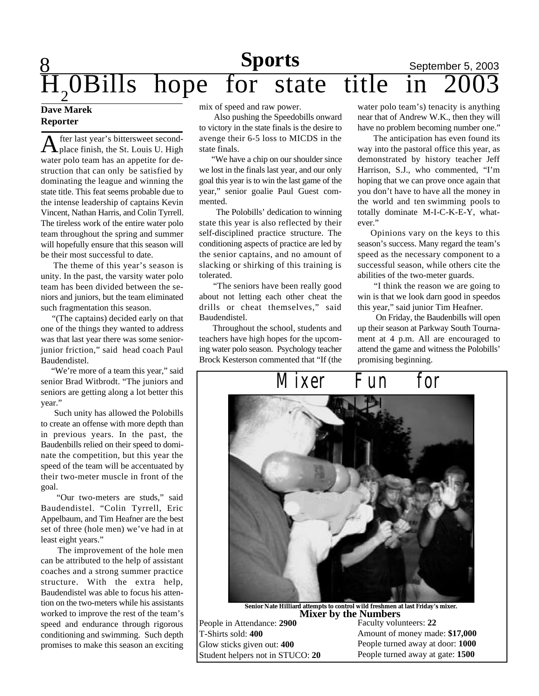## **Sports** September 5, 2003  $\overline{\mathrm{H}}_{2}$ hope for state title in

#### **Dave Marek Reporter**

A fter last year's bittersweet second-<br>place finish, the St. Louis U. High fter last year's bittersweet secondwater polo team has an appetite for destruction that can only be satisfied by dominating the league and winning the state title. This feat seems probable due to the intense leadership of captains Kevin Vincent, Nathan Harris, and Colin Tyrrell. The tireless work of the entire water polo team throughout the spring and summer will hopefully ensure that this season will be their most successful to date.

 The theme of this year's season is unity. In the past, the varsity water polo team has been divided between the seniors and juniors, but the team eliminated such fragmentation this season.

 "(The captains) decided early on that one of the things they wanted to address was that last year there was some seniorjunior friction," said head coach Paul Baudendistel.

"We're more of a team this year," said senior Brad Witbrodt. "The juniors and seniors are getting along a lot better this year."

 Such unity has allowed the Polobills to create an offense with more depth than in previous years. In the past, the Baudenbills relied on their speed to dominate the competition, but this year the speed of the team will be accentuated by their two-meter muscle in front of the goal.

"Our two-meters are studs," said Baudendistel. "Colin Tyrrell, Eric Appelbaum, and Tim Heafner are the best set of three (hole men) we've had in at least eight years."

 The improvement of the hole men can be attributed to the help of assistant coaches and a strong summer practice structure. With the extra help, Baudendistel was able to focus his attention on the two-meters while his assistants worked to improve the rest of the team's speed and endurance through rigorous conditioning and swimming. Such depth promises to make this season an exciting mix of speed and raw power.

 Also pushing the Speedobills onward to victory in the state finals is the desire to avenge their 6-5 loss to MICDS in the state finals.

 "We have a chip on our shoulder since we lost in the finals last year, and our only goal this year is to win the last game of the year," senior goalie Paul Guest commented.

 The Polobills' dedication to winning state this year is also reflected by their self-disciplined practice structure. The conditioning aspects of practice are led by the senior captains, and no amount of slacking or shirking of this training is tolerated.

 "The seniors have been really good about not letting each other cheat the drills or cheat themselves," said Baudendistel.

 Throughout the school, students and teachers have high hopes for the upcoming water polo season. Psychology teacher Brock Kesterson commented that "If (the

water polo team's) tenacity is anything near that of Andrew W.K., then they will have no problem becoming number one."

The anticipation has even found its way into the pastoral office this year, as demonstrated by history teacher Jeff Harrison, S.J., who commented, "I'm hoping that we can prove once again that you don't have to have all the money in the world and ten swimming pools to totally dominate M-I-C-K-E-Y, whatever."

 Opinions vary on the keys to this season's success. Many regard the team's speed as the necessary component to a successful season, while others cite the abilities of the two-meter guards.

 "I think the reason we are going to win is that we look darn good in speedos this year," said junior Tim Heafner.

 On Friday, the Baudenbills will open up their season at Parkway South Tournament at 4 p.m. All are encouraged to attend the game and witness the Polobills' promising beginning.



**Mixer by the Numbers Senior Nate Hilliard attempts to control wild freshmen at last Friday's mixer.**

People in Attendance: **2900** T-Shirts sold: **400** Glow sticks given out: **400** Student helpers not in STUCO: **20** Faculty volunteers: **22** Amount of money made: **\$17,000** People turned away at door: **1000** People turned away at gate: **1500**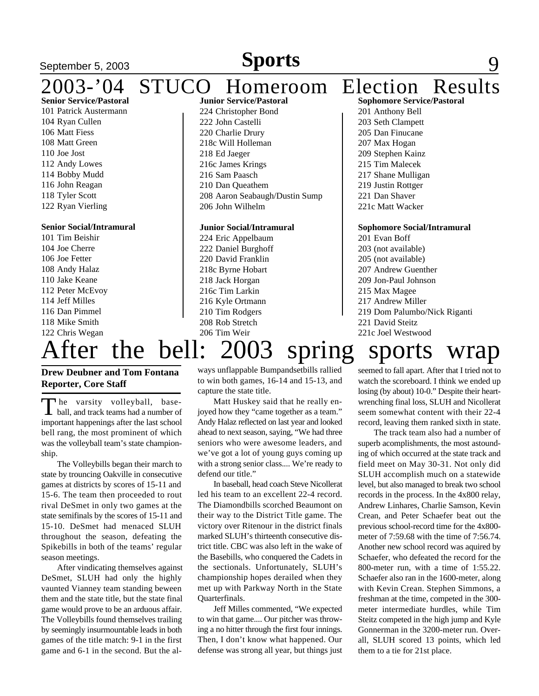#### **September 5, 2003 Sports** 9 2003-'04 STUCO Homeroom Election Results **Senior Service/Pastoral** 101 Patrick Austermann 104 Ryan Cullen 106 Matt Fiess **Junior Service/Pastoral** 224 Christopher Bond 222 John Castelli 220 Charlie Drury

 Matt Green 110 Joe Jost Andy Lowes Bobby Mudd John Reagan Tyler Scott Ryan Vierling

#### **Senior Social/Intramural**

 Tim Beishir Joe Cherre Joe Fetter Andy Halaz Jake Keane Peter McEvoy Jeff Milles Dan Pimmel Mike Smith Chris Wegan

## 218c Will Holleman 218 Ed Jaeger 216c James Krings 216 Sam Paasch 210 Dan Queathem 208 Aaron Seabaugh/Dustin Sump 206 John Wilhelm

#### **Junior Social/Intramural**

 Eric Appelbaum Daniel Burghoff David Franklin 218c Byrne Hobart Jack Horgan 216c Tim Larkin Kyle Ortmann Tim Rodgers Rob Stretch 206 Tim Weir

#### **Sophomore Service/Pastoral** 201 Anthony Bell 203 Seth Clampett 205 Dan Finucane 207 Max Hogan 209 Stephen Kainz 215 Tim Malecek

217 Shane Mulligan

219 Justin Rottger

221 Dan Shaver

221c Matt Wacker

#### **Sophomore Social/Intramural**

 Evan Boff (not available) (not available) Andrew Guenther Jon-Paul Johnson Max Magee Andrew Miller Dom Palumbo/Nick Riganti David Steitz 221c Joel Westwood

# After the bell: 2003 spring sports wrap

#### **Drew Deubner and Tom Fontana Reporter, Core Staff**

The varsity volleyball, base-<br>ball, and track teams had a number of The varsity volleyball, baseimportant happenings after the last school bell rang, the most prominent of which was the volleyball team's state championship.

The Volleybills began their march to state by trouncing Oakville in consecutive games at districts by scores of 15-11 and 15-6. The team then proceeded to rout rival DeSmet in only two games at the state semifinals by the scores of 15-11 and 15-10. DeSmet had menaced SLUH throughout the season, defeating the Spikebills in both of the teams' regular season meetings.

After vindicating themselves against DeSmet, SLUH had only the highly vaunted Vianney team standing beween them and the state title, but the state final game would prove to be an arduous affair. The Volleybills found themselves trailing by seemingly insurmountable leads in both games of the title match: 9-1 in the first game and 6-1 in the second. But the always unflappable Bumpandsetbills rallied to win both games, 16-14 and 15-13, and capture the state title.

#### Matt Huskey said that he really enjoyed how they "came together as a team." Andy Halaz reflected on last year and looked ahead to next season, saying, "We had three seniors who were awesome leaders, and we've got a lot of young guys coming up with a strong senior class.... We're ready to defend our title."

In baseball, head coach Steve Nicollerat led his team to an excellent 22-4 record. The Diamondbills scorched Beaumont on their way to the District Title game. The victory over Ritenour in the district finals marked SLUH's thirteenth consecutive district title. CBC was also left in the wake of the Basebills, who conquered the Cadets in the sectionals. Unfortunately, SLUH's championship hopes derailed when they met up with Parkway North in the State Quarterfinals.

Jeff Milles commented, "We expected to win that game.... Our pitcher was throwing a no hitter through the first four innings. Then, I don't know what happened. Our defense was strong all year, but things just

#### seemed to fall apart. After that I tried not to watch the scoreboard. I think we ended up losing (by about) 10-0." Despite their heartwrenching final loss, SLUH and Nicollerat seem somewhat content with their 22-4 record, leaving them ranked sixth in state.

The track team also had a number of superb acomplishments, the most astounding of which occurred at the state track and field meet on May 30-31. Not only did SLUH accomplish much on a statewide level, but also managed to break two school records in the process. In the 4x800 relay, Andrew Linhares, Charlie Samson, Kevin Crean, and Peter Schaefer beat out the previous school-record time for the 4x800 meter of 7:59.68 with the time of 7:56.74. Another new school record was aquired by Schaefer, who defeated the record for the 800-meter run, with a time of 1:55.22. Schaefer also ran in the 1600-meter, along with Kevin Crean. Stephen Simmons, a freshman at the time, competed in the 300 meter intermediate hurdles, while Tim Steitz competed in the high jump and Kyle Gonnerman in the 3200-meter run. Overall, SLUH scored 13 points, which led them to a tie for 21st place.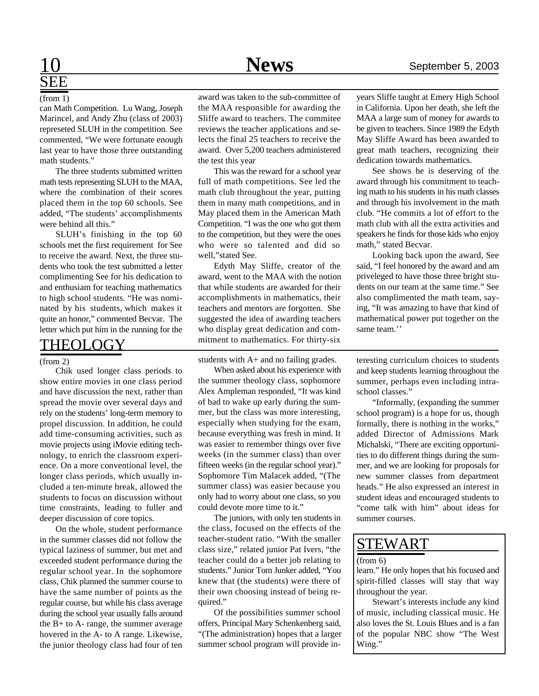## 10 **News** September 5, 2003

# SEE

#### (from 1)

can Math Competition. Lu Wang, Joseph Marincel, and Andy Zhu (class of 2003) represeted SLUH in the competition. See commented, "We were fortunate enough last year to have those three outstanding math students."

The three students submitted written math tests representing SLUH to the MAA, where the combination of their scores placed them in the top 60 schools. See added, "The students' accomplishments were behind all this."

SLUH's finishing in the top 60 schools met the first requirement for See to receive the award. Next, the three students who took the test submitted a letter complimenting See for his dedication to and enthusiam for teaching mathematics to high school students. "He was nominated by his students, which makes it quite an honor," commented Becvar. The letter which put him in the running for the

### THEOLOGY

#### (from 2)

Chik used longer class periods to show entire movies in one class period and have discussion the next, rather than spread the movie over several days and rely on the students' long-term memory to propel discussion. In addition, he could add time-consuming activities, such as movie projects using iMovie editing technology, to enrich the classroom experience. On a more conventional level, the longer class periods, which usually included a ten-minute break, allowed the students to focus on discussion without time constraints, leading to fuller and deeper discussion of core topics.

On the whole, student performance in the summer classes did not follow the typical laziness of summer, but met and exceeded student performance during the regular school year. In the sophomore class, Chik planned the summer course to have the same number of points as the regular course, but while his class average during the school year usually falls around the B+ to A- range, the summer average hovered in the A- to A range. Likewise, the junior theology class had four of ten

award was taken to the sub-committee of the MAA responsible for awarding the Sliffe award to teachers. The commitee reviews the teacher applications and selects the final 25 teachers to receive the award. Over 5,200 teachers administered the test this year

This was the reward for a school year full of math competitions. See led the math club throughout the year, putting them in many math competitions, and in May placed them in the American Math Competition. "I was the one who got them to the competition, but they were the ones who were so talented and did so well,"stated See.

Edyth May Sliffe, creator of the award, went to the MAA with the notion that while students are awarded for their accomplishments in mathematics, their teachers and mentors are forgotten. She suggested the idea of awarding teachers who display great dedication and commitment to mathematics. For thirty-six

students with A+ and no failing grades.

When asked about his experience with the summer theology class, sophomore Alex Ampleman responded, "It was kind of bad to wake up early during the summer, but the class was more interesting, especially when studying for the exam, because everything was fresh in mind. It was easier to remember things over five weeks (in the summer class) than over fifteen weeks (in the regular school year)." Sophomore Tim Malacek added, "(The summer class) was easier because you only had to worry about one class, so you could devote more time to it."

The juniors, with only ten students in the class, focused on the effects of the teacher-student ratio. "With the smaller class size," related junior Pat Ivers, "the teacher could do a better job relating to students." Junior Tom Junker added, "You knew that (the students) were there of their own choosing instead of being required."

Of the possibilities summer school offers, Principal Mary Schenkenberg said, "(The administration) hopes that a larger summer school program will provide inyears Sliffe taught at Emery High School in California. Upon her death, she left the MAA a large sum of money for awards to be given to teachers. Since 1989 the Edyth May Sliffe Award has been awarded to great math teachers, recognizing their dedication towards mathematics.

See shows he is deserving of the award through his commitment to teaching math to his students in his math classes and through his involvement in the math club. "He commits a lot of effort to the math club with all the extra activities and speakers he finds for those kids who enjoy math," stated Becvar.

Looking back upon the award, See said, "I feel honored by the award and am priveleged to have those three bright students on our team at the same time." See also complimented the math team, saying, "It was amazing to have that kind of mathematical power put together on the same team.''

teresting curriculum choices to students and keep students learning throughout the summer, perhaps even including intraschool classes."

"Informally, (expanding the summer school program) is a hope for us, though formally, there is nothing in the works," added Director of Admissions Mark Michalski, "There are exciting opportunities to do different things during the summer, and we are looking for proposals for new summer classes from department heads." He also expressed an interest in student ideas and encouraged students to "come talk with him" about ideas for summer courses.

## STEWART

#### (from 6)

learn." He only hopes that his focused and spirit-filled classes will stay that way throughout the year.

Stewart's interests include any kind of music, including classical music. He also loves the St. Louis Blues and is a fan of the popular NBC show "The West Wing."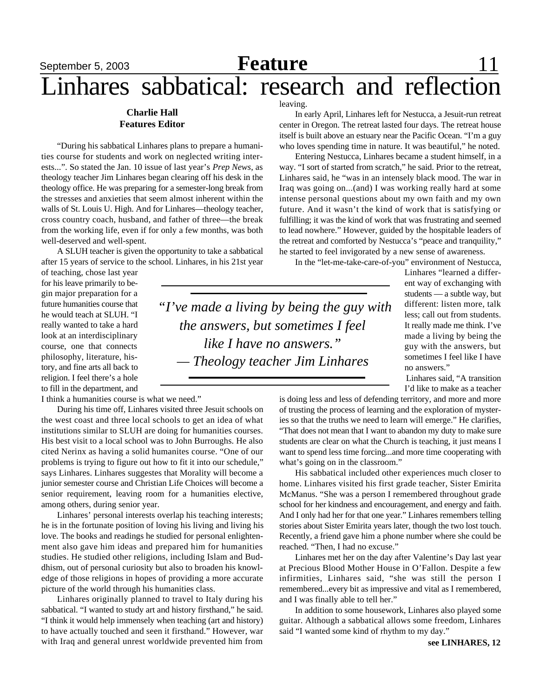# September 5, 2003 **Feature** 11 Linhares sabbatical: research and reflection

#### **Charlie Hall Features Editor**

"During his sabbatical Linhares plans to prepare a humanities course for students and work on neglected writing interests...". So stated the Jan. 10 issue of last year's *Prep News*, as theology teacher Jim Linhares began clearing off his desk in the theology office. He was preparing for a semester-long break from the stresses and anxieties that seem almost inherent within the walls of St. Louis U. High. And for Linhares—theology teacher, cross country coach, husband, and father of three—the break from the working life, even if for only a few months, was both well-deserved and well-spent.

A SLUH teacher is given the opportunity to take a sabbatical after 15 years of service to the school. Linhares, in his 21st year

of teaching, chose last year for his leave primarily to begin major preparation for a future humanities course that he would teach at SLUH. "I really wanted to take a hard look at an interdisciplinary course, one that connects philosophy, literature, history, and fine arts all back to religion. I feel there's a hole to fill in the department, and

I think a humanities course is what we need."

During his time off, Linhares visited three Jesuit schools on the west coast and three local schools to get an idea of what institutions similar to SLUH are doing for humanities courses. His best visit to a local school was to John Burroughs. He also cited Nerinx as having a solid humanites course. "One of our problems is trying to figure out how to fit it into our schedule," says Linhares. Linhares suggestes that Morality will become a junior semester course and Christian Life Choices will become a senior requirement, leaving room for a humanities elective, among others, during senior year.

Linhares' personal interests overlap his teaching interests; he is in the fortunate position of loving his living and living his love. The books and readings he studied for personal enlightenment also gave him ideas and prepared him for humanities studies. He studied other religions, including Islam and Buddhism, out of personal curiosity but also to broaden his knowledge of those religions in hopes of providing a more accurate picture of the world through his humanities class.

Linhares originally planned to travel to Italy during his sabbatical. "I wanted to study art and history firsthand," he said. "I think it would help immensely when teaching (art and history) to have actually touched and seen it firsthand." However, war with Iraq and general unrest worldwide prevented him from

leaving.

In early April, Linhares left for Nestucca, a Jesuit-run retreat center in Oregon. The retreat lasted four days. The retreat house itself is built above an estuary near the Pacific Ocean. "I'm a guy who loves spending time in nature. It was beautiful," he noted.

Entering Nestucca, Linhares became a student himself, in a way. "I sort of started from scratch," he said. Prior to the retreat, Linhares said, he "was in an intensely black mood. The war in Iraq was going on...(and) I was working really hard at some intense personal questions about my own faith and my own future. And it wasn't the kind of work that is satisfying or fulfilling; it was the kind of work that was frustrating and seemed to lead nowhere." However, guided by the hospitable leaders of the retreat and comforted by Nestucca's "peace and tranquility," he started to feel invigorated by a new sense of awareness.

In the "let-me-take-care-of-you" environment of Nestucca,

*"I've made a living by being the guy with the answers, but sometimes I feel like I have no answers." — Theology teacher Jim Linhares*

Linhares "learned a different way of exchanging with students — a subtle way, but different: listen more, talk less; call out from students. It really made me think. I've made a living by being the guy with the answers, but sometimes I feel like I have no answers."

Linhares said, "A transition I'd like to make as a teacher

is doing less and less of defending territory, and more and more of trusting the process of learning and the exploration of mysteries so that the truths we need to learn will emerge." He clarifies, "That does not mean that I want to abandon my duty to make sure students are clear on what the Church is teaching, it just means I want to spend less time forcing...and more time cooperating with what's going on in the classroom."

His sabbatical included other experiences much closer to home. Linhares visited his first grade teacher, Sister Emirita McManus. "She was a person I remembered throughout grade school for her kindness and encouragement, and energy and faith. And I only had her for that one year." Linhares remembers telling stories about Sister Emirita years later, though the two lost touch. Recently, a friend gave him a phone number where she could be reached. "Then, I had no excuse."

Linhares met her on the day after Valentine's Day last year at Precious Blood Mother House in O'Fallon. Despite a few infirmities, Linhares said, "she was still the person I remembered...every bit as impressive and vital as I remembered, and I was finally able to tell her."

In addition to some housework, Linhares also played some guitar. Although a sabbatical allows some freedom, Linhares said "I wanted some kind of rhythm to my day."